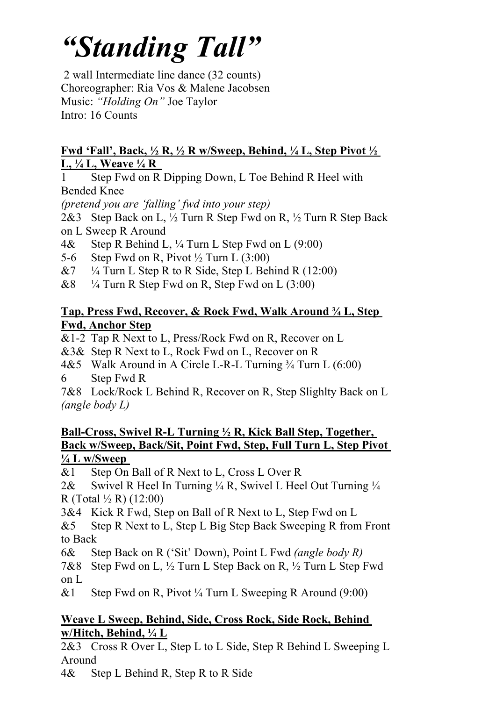# *"Standing Tall"*

2 wall Intermediate line dance (32 counts) Choreographer: Ria Vos & Malene Jacobsen Music: *"Holding On"* Joe Taylor Intro: 16 Counts

#### **Fwd 'Fall' , Back, ½ R, ½ R w/Sweep, Behind, ¼ L, Step Pivot ½ L, ¼ L, Weave ¼ R**

1 Step Fwd on R Dipping Down, L Toe Behind R Heel with Bended Knee

*(pretend you are 'falling' fwd into your step)*

2&3 Step Back on L, ½ Turn R Step Fwd on R, ½ Turn R Step Back on L Sweep R Around

- 4& Step R Behind L, ¼ Turn L Step Fwd on L (9:00)
- 5-6 Step Fwd on R, Pivot  $\frac{1}{2}$  Turn L (3:00)
- &7  $\frac{1}{4}$  Turn L Step R to R Side, Step L Behind R (12:00)
- $\&8$  <sup>1/4</sup> Turn R Step Fwd on R, Step Fwd on L (3:00)

## **Tap, Press Fwd, Recover, & Rock Fwd, Walk Around ¾ L, Step Fwd, Anchor Step**

&1-2 Tap R Next to L, Press/Rock Fwd on R, Recover on L

&3& Step R Next to L, Rock Fwd on L, Recover on R

4&5 Walk Around in A Circle L-R-L Turning 3/4 Turn L (6:00) 6 Step Fwd R

7&8 Lock/Rock L Behind R, Recover on R, Step Slighlty Back on L *(angle body L)*

## **Ball-Cross, Swivel R-L Turning ½ R, Kick Ball Step, Together, Back w/Sweep, Back/Sit, Point Fwd, Step, Full Turn L, Step Pivot ¼ L w/Sweep**

&1 Step On Ball of R Next to L, Cross L Over R

2& Swivel R Heel In Turning  $\frac{1}{4}$  R, Swivel L Heel Out Turning  $\frac{1}{4}$ R (Total ½ R) (12:00)

3&4 Kick R Fwd, Step on Ball of R Next to L, Step Fwd on L

&5 Step R Next to L, Step L Big Step Back Sweeping R from Front to Back

6& Step Back on R ('Sit' Down), Point L Fwd *(angle body R)*

7&8 Step Fwd on L, ½ Turn L Step Back on R, ½ Turn L Step Fwd on L

&1 Step Fwd on R, Pivot  $\frac{1}{4}$  Turn L Sweeping R Around (9:00)

## **Weave L Sweep, Behind, Side, Cross Rock, Side Rock, Behind w/Hitch, Behind, ¼ L**

2&3 Cross R Over L, Step L to L Side, Step R Behind L Sweeping L Around

4& Step L Behind R, Step R to R Side